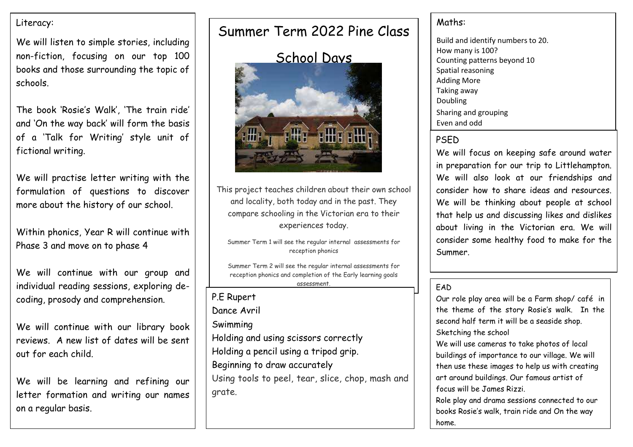## Literacy:

We will listen to simple stories, including non-fiction, focusing on our top 100 books and those surrounding the topic of schools.

The book 'Rosie's Walk', 'The train ride' and 'On the way back' will form the basis of a 'Talk for Writing' style unit of fictional writing.

We will practise letter writing with the formulation of questions to discover more about the history of our school.

Within phonics, Year R will continue with Phase 3 and move on to phase 4

We will continue with our group and individual reading sessions, exploring decoding, prosody and comprehension.

We will continue with our library book reviews. A new list of dates will be sent out for each child.

We will be learning and refining our letter formation and writing our names on a regular basis.

# Summer Term 2022 Pine Class



This project teaches children about their own school and locality, both today and in the past. They compare schooling in the Victorian era to their experiences today.

Summer Term 1 will see the regular internal assessments for reception phonics

Summer Term 2 will see the regular internal assessments for reception phonics and completion of the Early learning goals assessment.

P.E Rupert Dance Avril Swimming Holding and using scissors correctly Holding a pencil using a tripod grip. Beginning to draw accurately Using tools to peel, tear, slice, chop, mash and grate.

## Maths:

Build and identify numbers to 20. How many is 100? Counting patterns beyond 10 Spatial reasoning Adding More Taking away Doubling Sharing and grouping Even and odd

### PSED

We will focus on keeping safe around water in preparation for our trip to Littlehampton. We will also look at our friendships and consider how to share ideas and resources. We will be thinking about people at school that help us and discussing likes and dislikes about living in the Victorian era. We will consider some healthy food to make for the Summer.

### **FAD**

Our role play area will be a Farm shop/ café in the theme of the story Rosie's walk. In the second half term it will be a seaside shop. Sketching the school

We will use cameras to take photos of local buildings of importance to our village. We will then use these images to help us with creating art around buildings. Our famous artist of focus will be James Rizzi.

Role play and drama sessions connected to our books Rosie's walk, train ride and On the way home.